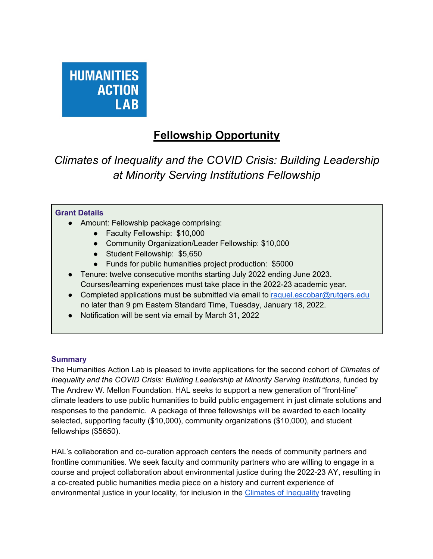

# **Fellowship Opportunity**

*Climates of Inequality and the COVID Crisis: Building Leadership at Minority Serving Institutions Fellowship*

#### **Grant Details**

- Amount: Fellowship package comprising:
	- Faculty Fellowship: \$10,000
	- Community Organization/Leader Fellowship: \$10,000
	- Student Fellowship: \$5,650
	- Funds for public humanities project production: \$5000
- Tenure: twelve consecutive months starting July 2022 ending June 2023. Courses/learning experiences must take place in the 2022-23 academic year.
- Completed applications must be submitted via email to raquel.escobar@rutgers.edu no later than 9 pm Eastern Standard Time, Tuesday, January 18, 2022.
- Notification will be sent via email by March 31, 2022

#### **Summary**

The Humanities Action Lab is pleased to invite applications for the second cohort of *Climates of Inequality and the COVID Crisis: Building Leadership at Minority Serving Institutions, funded by* The Andrew W. Mellon Foundation. HAL seeks to support a new generation of "front-line" climate leaders to use public humanities to build public engagement in just climate solutions and responses to the pandemic. A package of three fellowships will be awarded to each locality selected, supporting faculty (\$10,000), community organizations (\$10,000), and student fellowships (\$5650).

HAL's collaboration and co-curation approach centers the needs of community partners and frontline communities. We seek faculty and community partners who are willing to engage in a course and project collaboration about environmental justice during the 2022-23 AY, resulting in a co-created public humanities media piece on a history and current experience of environmental justice in your locality, for inclusion in the Climates of Inequality traveling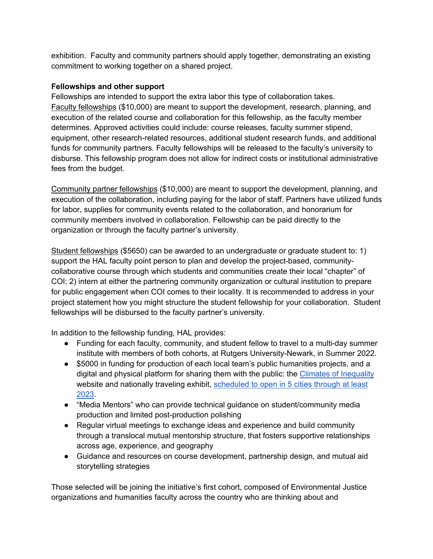exhibition. Faculty and community partners should apply together, demonstrating an existing commitment to working together on a shared project.

## **Fellowships and other support**

Fellowships are intended to support the extra labor this type of collaboration takes. Faculty fellowships (\$10,000) are meant to support the development, research, planning, and execution of the related course and collaboration for this fellowship, as the faculty member determines. Approved activities could include: course releases, faculty summer stipend, equipment, other research-related resources, additional student research funds, and additional funds for community partners. Faculty fellowships will be released to the faculty's university to disburse. This fellowship program does not allow for indirect costs or institutional administrative fees from the budget.

Community partner fellowships (\$10,000) are meant to support the development, planning, and execution of the collaboration, including paying for the labor of staff. Partners have utilized funds for labor, supplies for community events related to the collaboration, and honorarium for community members involved in collaboration. Fellowship can be paid directly to the organization or through the faculty partner's university.

Student fellowships (\$5650) can be awarded to an undergraduate or graduate student to: 1) support the HAL faculty point person to plan and develop the project-based, communitycollaborative course through which students and communities create their local "chapter" of COI; 2) intern at either the partnering community organization or cultural institution to prepare for public engagement when COI comes to their locality. It is recommended to address in your project statement how you might structure the student fellowship for your collaboration. Student fellowships will be disbursed to the faculty partner's university.

In addition to the fellowship funding, HAL provides:

- Funding for each faculty, community, and student fellow to travel to a multi-day summer institute with members of both cohorts, at Rutgers University-Newark, in Summer 2022.
- \$5000 in funding for production of each local team's public humanities projects, and a digital and physical platform for sharing them with the public: the Climates of Inequality website and nationally traveling exhibit, scheduled to open in 5 cities through at least 2023.
- "Media Mentors" who can provide technical guidance on student/community media production and limited post-production polishing
- Regular virtual meetings to exchange ideas and experience and build community through a translocal mutual mentorship structure, that fosters supportive relationships across age, experience, and geography
- Guidance and resources on course development, partnership design, and mutual aid storytelling strategies

Those selected will be joining the initiative's first cohort, composed of Environmental Justice organizations and humanities faculty across the country who are thinking about and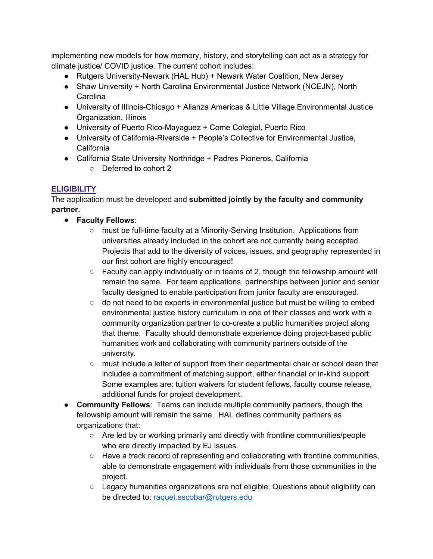implementing new models for how memory, history, and storytelling can act as a strategy for climate justice/ COVID justice. The current cohort includes:

- Rutgers University-Newark (HAL Hub) + Newark Water Coalition, New Jersey
- Shaw University + North Carolina Environmental Justice Network (NCEJN), North **Carolina**
- University of Illinois-Chicago + Alianza Americas & Little Village Environmental Justice Organization, Illinois
- University of Puerto Rico-Mayaguez + Come Colegial, Puerto Rico
- University of California-Riverside + People's Collective for Environmental Justice, California
- California State University Northridge + Padres Pioneros, California
	- Deferred to cohort 2

# **ELIGIBILITY**

The application must be developed and **submitted jointly by the faculty and community partner.** 

- **Faculty Fellows**:
	- must be full-time faculty at a Minority-Serving Institution. Applications from universities already included in the cohort are not currently being accepted. Projects that add to the diversity of voices, issues, and geography represented in our first cohort are highly encouraged!
	- Faculty can apply individually or in teams of 2, though the fellowship amount will remain the same. For team applications, partnerships between junior and senior faculty designed to enable participation from junior faculty are encouraged.
	- do not need to be experts in environmental justice but must be willing to embed environmental justice history curriculum in one of their classes and work with a community organization partner to co-create a public humanities project along that theme. Faculty should demonstrate experience doing project-based public humanities work and collaborating with community partners outside of the university.
	- must include a letter of support from their departmental chair or school dean that includes a commitment of matching support, either financial or in-kind support. Some examples are: tuition waivers for student fellows, faculty course release, additional funds for project development.
- **Community Fellows**: Teams can include multiple community partners, though the fellowship amount will remain the same. HAL defines community partners as organizations that:
	- Are led by or working primarily and directly with frontline communities/people who are directly impacted by EJ issues.
	- Have a track record of representing and collaborating with frontline communities, able to demonstrate engagement with individuals from those communities in the project.
	- Legacy humanities organizations are not eligible. Questions about eligibility can be directed to: raquel.escobar@rutgers.edu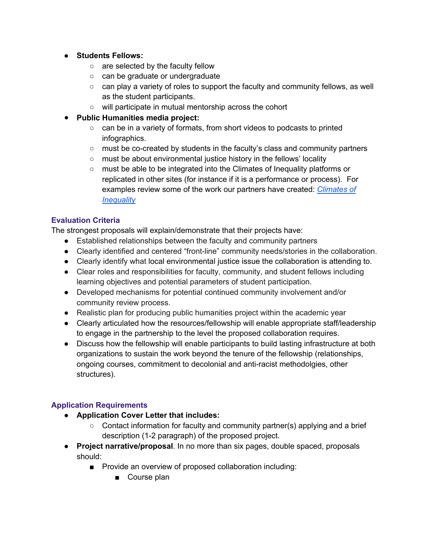- **Students Fellows:** 
	- are selected by the faculty fellow
	- can be graduate or undergraduate
	- $\circ$  can play a variety of roles to support the faculty and community fellows, as well as the student participants.
	- will participate in mutual mentorship across the cohort
- **Public Humanities media project:**
	- can be in a variety of formats, from short videos to podcasts to printed infographics.
	- must be co-created by students in the faculty's class and community partners
	- must be about environmental justice history in the fellows' locality
	- must be able to be integrated into the Climates of Inequality platforms or replicated in other sites (for instance if it is a performance or process). For examples review some of the work our partners have created: *Climates of Inequality*

## **Evaluation Criteria**

The strongest proposals will explain/demonstrate that their projects have:

- Established relationships between the faculty and community partners
- Clearly identified and centered "front-line" community needs/stories in the collaboration.
- Clearly identify what local environmental justice issue the collaboration is attending to.
- Clear roles and responsibilities for faculty, community, and student fellows including learning objectives and potential parameters of student participation.
- Developed mechanisms for potential continued community involvement and/or community review process.
- Realistic plan for producing public humanities project within the academic year
- Clearly articulated how the resources/fellowship will enable appropriate staff/leadership to engage in the partnership to the level the proposed collaboration requires.
- Discuss how the fellowship will enable participants to build lasting infrastructure at both organizations to sustain the work beyond the tenure of the fellowship (relationships, ongoing courses, commitment to decolonial and anti-racist methodolgies, other structures).

## **Application Requirements**

- **Application Cover Letter that includes:** 
	- $\circ$  Contact information for faculty and community partner(s) applying and a brief description (1-2 paragraph) of the proposed project.
- **Project narrative/proposal**. In no more than six pages, double spaced, proposals should:
	- Provide an overview of proposed collaboration including:
		- Course plan